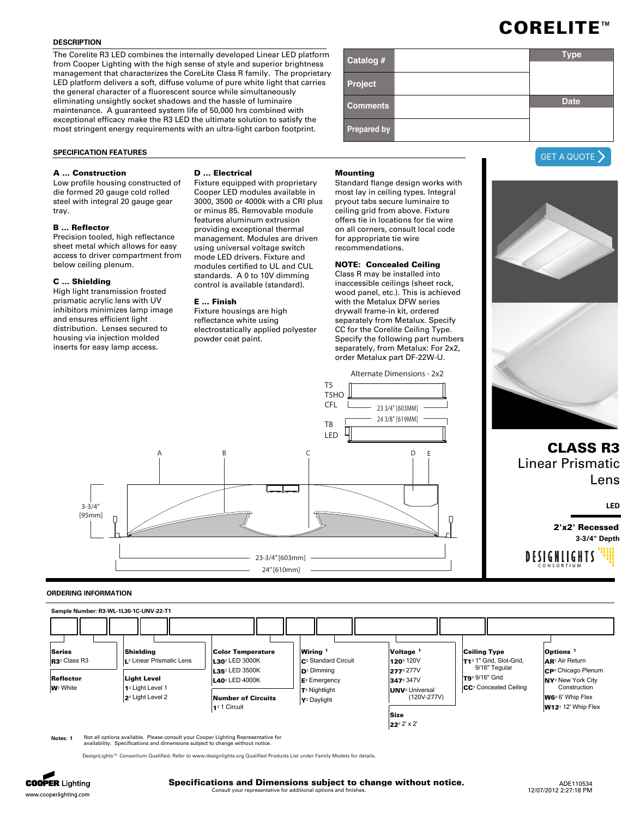## **DESCRIPTION**

The Corelite R3 LED combines the internally developed Linear LED platform from Cooper Lighting with the high sense of style and superior brightness management that characterizes the CoreLite Class R family. The proprietary LED platform delivers a soft, diffuse volume of pure white light that carries the general character of a fluorescent source while simultaneously eliminating unsightly socket shadows and the hassle of luminaire maintenance. A guaranteed system life of 50,000 hrs combined with exceptional efficacy make the R3 LED the ultimate solution to satisfy the most stringent energy requirements with an ultra-light carbon footprint.

## **SPECIFICATION FEATURES**

# **A ... Construction**

Low profile housing constructed of die formed 20 gauge cold rolled steel with integral 20 gauge gear tray.

# **B ... Reflector**

Precision tooled, high reflectance sheet metal which allows for easy access to driver compartment from below ceiling plenum.

## **C ... Shielding**

High light transmission frosted prismatic acrylic lens with UV inhibitors minimizes lamp image and ensures efficient light distribution. Lenses secured to housing via injection molded inserts for easy lamp access.

## **D ... Electrical**

Fixture equipped with proprietary Cooper LED modules available in 3000, 3500 or 4000k with a CRI plus or minus 85. Removable module features aluminum extrusion providing exceptional thermal management. Modules are driven using universal voltage switch mode LED drivers. Fixture and modules certified to UL and CUL standards. A 0 to 10V dimming control is available (standard).

## **E ... Finish**

Fixture housings are high reflectance white using electrostatically applied polyester powder coat paint.

## **Mounting**

Standard flange design works with most lay in ceiling types. Integral pryout tabs secure luminaire to ceiling grid from above. Fixture offers tie in locations for tie wire on all corners, consult local code for appropriate tie wire recommendations.

# **NOTE: Concealed Ceiling**

Class R may be installed into inaccessible ceilings (sheet rock, wood panel, etc.). This is achieved with the Metalux DFW series drywall frame-in kit, ordered separately from Metalux. Specify CC for the Corelite Ceiling Type. Specify the following part numbers separately, from Metalux: For 2x2, order Metalux part DF-22W-U.



## **ORDERING INFORMATION**



**Notes: 1** Not all options available. Please consult your Cooper Lighting Representative for availability. Specifications and dimensions subject to change without notice.



| Catalog #       | <b>Type</b> |
|-----------------|-------------|
| Project         |             |
| <b>Comments</b> | <b>Date</b> |
| Prepared by     |             |



Linear Prismatic Lens

**LED**